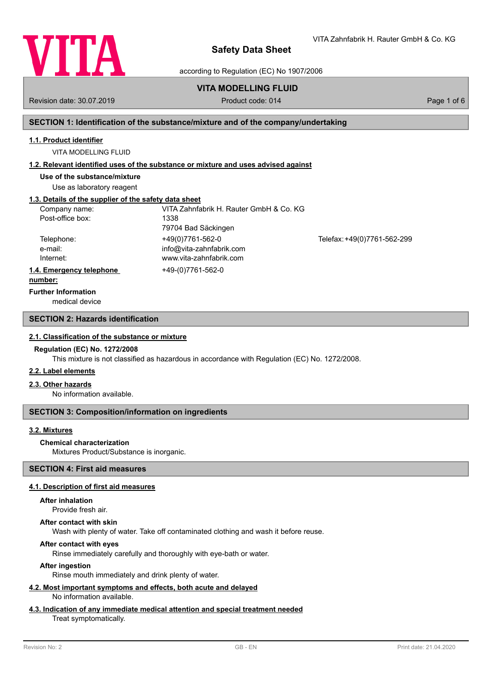

VITA Zahnfabrik H. Rauter GmbH & Co. KG

according to Regulation (EC) No 1907/2006

# **VITA MODELLING FLUID**

Revision date: 30.07.2019 **Product code: 014** Product code: 014 **Page 1 of 6** Page 1 of 6

# **SECTION 1: Identification of the substance/mixture and of the company/undertaking**

# **1.1. Product identifier**

VITA MODELLING FLUID

#### **1.2. Relevant identified uses of the substance or mixture and uses advised against**

**Use of the substance/mixture**

Use as laboratory reagent

# **1.3. Details of the supplier of the safety data sheet**

| Company name:                        | VITA Zahnfabrik H. Rauter GmbH & Co. KG |                             |
|--------------------------------------|-----------------------------------------|-----------------------------|
| Post-office box:                     | 1338                                    |                             |
|                                      | 79704 Bad Säckingen                     |                             |
| Telephone:                           | +49(0)7761-562-0                        | Telefax: +49(0)7761-562-299 |
| e-mail:                              | info@vita-zahnfabrik.com                |                             |
| Internet:                            | www.vita-zahnfabrik.com                 |                             |
| 1.4. Emergency telephone             | +49-(0)7761-562-0                       |                             |
| and a competition of the competition |                                         |                             |

#### **number:**

**Further Information**

medical device

# **SECTION 2: Hazards identification**

#### **2.1. Classification of the substance or mixture**

#### **Regulation (EC) No. 1272/2008**

This mixture is not classified as hazardous in accordance with Regulation (EC) No. 1272/2008.

#### **2.2. Label elements**

#### **2.3. Other hazards**

No information available.

#### **SECTION 3: Composition/information on ingredients**

# **3.2. Mixtures**

#### **Chemical characterization**

Mixtures Product/Substance is inorganic.

# **SECTION 4: First aid measures**

# **4.1. Description of first aid measures**

#### **After inhalation**

Provide fresh air.

#### **After contact with skin**

Wash with plenty of water. Take off contaminated clothing and wash it before reuse.

# **After contact with eyes**

Rinse immediately carefully and thoroughly with eye-bath or water.

# **After ingestion**

Rinse mouth immediately and drink plenty of water.

#### **4.2. Most important symptoms and effects, both acute and delayed** No information available.

# **4.3. Indication of any immediate medical attention and special treatment needed**

# Treat symptomatically.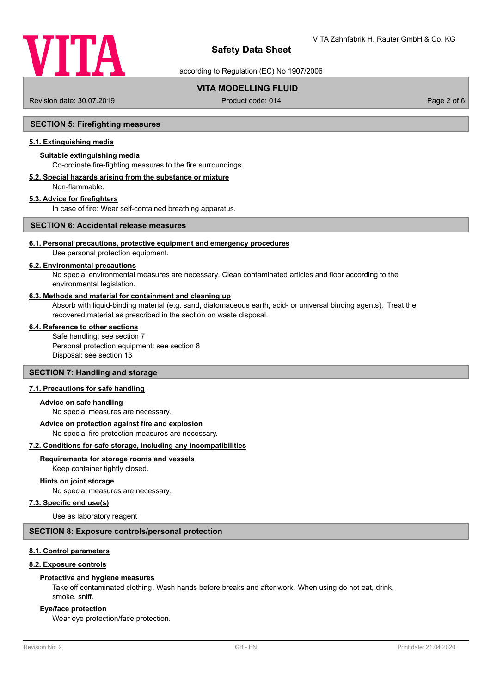

according to Regulation (EC) No 1907/2006

# **VITA MODELLING FLUID**

Revision date: 30.07.2019 **Product code: 014** Product code: 014 **Page 2 of 6** Page 2 of 6

# **SECTION 5: Firefighting measures**

# **5.1. Extinguishing media**

## **Suitable extinguishing media**

Co-ordinate fire-fighting measures to the fire surroundings.

# **5.2. Special hazards arising from the substance or mixture**

Non-flammable.

# **5.3. Advice for firefighters**

In case of fire: Wear self-contained breathing apparatus.

# **SECTION 6: Accidental release measures**

### **6.1. Personal precautions, protective equipment and emergency procedures**

Use personal protection equipment.

#### **6.2. Environmental precautions**

No special environmental measures are necessary. Clean contaminated articles and floor according to the environmental legislation.

#### **6.3. Methods and material for containment and cleaning up**

Absorb with liquid-binding material (e.g. sand, diatomaceous earth, acid- or universal binding agents). Treat the recovered material as prescribed in the section on waste disposal.

# **6.4. Reference to other sections**

Safe handling: see section 7 Personal protection equipment: see section 8 Disposal: see section 13

#### **SECTION 7: Handling and storage**

#### **7.1. Precautions for safe handling**

#### **Advice on safe handling**

No special measures are necessary.

#### **Advice on protection against fire and explosion**

No special fire protection measures are necessary.

#### **7.2. Conditions for safe storage, including any incompatibilities**

**Requirements for storage rooms and vessels**

Keep container tightly closed.

# **Hints on joint storage**

No special measures are necessary.

# **7.3. Specific end use(s)**

Use as laboratory reagent

# **SECTION 8: Exposure controls/personal protection**

# **8.1. Control parameters**

#### **8.2. Exposure controls**

#### **Protective and hygiene measures**

Take off contaminated clothing. Wash hands before breaks and after work. When using do not eat, drink, smoke, sniff.

#### **Eye/face protection**

Wear eye protection/face protection.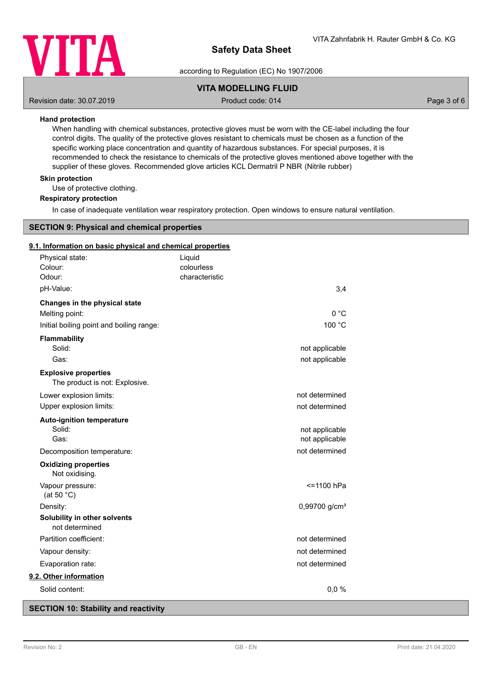

according to Regulation (EC) No 1907/2006

# **VITA MODELLING FLUID**

Revision date: 30.07.2019 **Product code: 014** Product code: 014 **Page 3 of 6** Page 3 of 6

# **Hand protection**

When handling with chemical substances, protective gloves must be worn with the CE-label including the four control digits. The quality of the protective gloves resistant to chemicals must be chosen as a function of the specific working place concentration and quantity of hazardous substances. For special purposes, it is recommended to check the resistance to chemicals of the protective gloves mentioned above together with the supplier of these gloves. Recommended glove articles KCL Dermatril P NBR (Nitrile rubber)

## **Skin protection**

Use of protective clothing.

#### **Respiratory protection**

In case of inadequate ventilation wear respiratory protection. Open windows to ensure natural ventilation.

# **SECTION 9: Physical and chemical properties**

### **9.1. Information on basic physical and chemical properties**

| Physical state:                                               | Liquid         |                             |
|---------------------------------------------------------------|----------------|-----------------------------|
| Colour:                                                       | colourless     |                             |
| Odour:                                                        | characteristic |                             |
| pH-Value:                                                     |                | 3,4                         |
| Changes in the physical state                                 |                |                             |
| Melting point:                                                |                | 0 °C                        |
| Initial boiling point and boiling range:                      |                | 100 °C                      |
| Flammability                                                  |                |                             |
| Solid:                                                        |                | not applicable              |
| Gas:                                                          |                | not applicable              |
| <b>Explosive properties</b><br>The product is not: Explosive. |                |                             |
| Lower explosion limits:                                       |                | not determined              |
| Upper explosion limits:                                       |                | not determined              |
| <b>Auto-ignition temperature</b>                              |                |                             |
| Solid:                                                        |                | not applicable              |
| Gas:                                                          |                | not applicable              |
| Decomposition temperature:                                    |                | not determined              |
| <b>Oxidizing properties</b><br>Not oxidising.                 |                |                             |
| Vapour pressure:<br>(at 50 $°C$ )                             |                | <=1100 hPa                  |
| Density:                                                      |                | $0,99700$ g/cm <sup>3</sup> |
| Solubility in other solvents<br>not determined                |                |                             |
| Partition coefficient:                                        |                | not determined              |
| Vapour density:                                               |                | not determined              |
| Evaporation rate:                                             |                | not determined              |
| 9.2. Other information                                        |                |                             |
| Solid content:                                                |                | 0,0%                        |

# **SECTION 10: Stability and reactivity**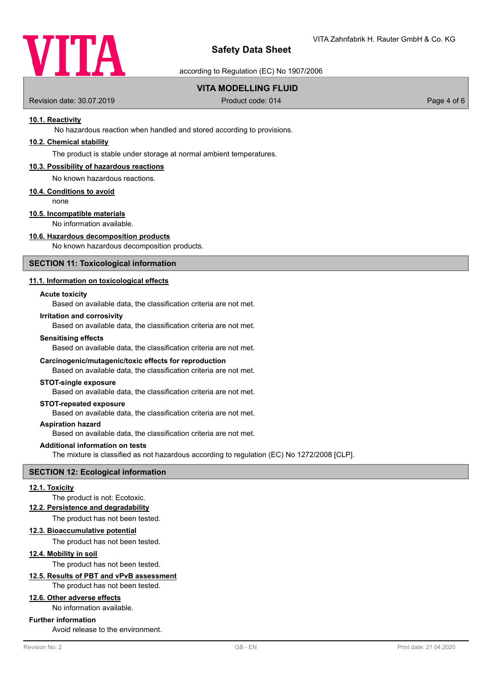

according to Regulation (EC) No 1907/2006

# **VITA MODELLING FLUID**

Revision date: 30.07.2019 **Product code: 014** Product code: 014 **Page 4 of 6** Page 4 of 6

# **10.1. Reactivity**

No hazardous reaction when handled and stored according to provisions.

# **10.2. Chemical stability**

The product is stable under storage at normal ambient temperatures.

#### **10.3. Possibility of hazardous reactions**

No known hazardous reactions.

#### **10.4. Conditions to avoid**

none

# **10.5. Incompatible materials**

No information available.

# **10.6. Hazardous decomposition products**

No known hazardous decomposition products.

#### **SECTION 11: Toxicological information**

# **11.1. Information on toxicological effects**

#### **Acute toxicity**

Based on available data, the classification criteria are not met.

## **Irritation and corrosivity**

Based on available data, the classification criteria are not met.

#### **Sensitising effects**

Based on available data, the classification criteria are not met.

#### **Carcinogenic/mutagenic/toxic effects for reproduction**

Based on available data, the classification criteria are not met.

#### **STOT-single exposure**

Based on available data, the classification criteria are not met.

# **STOT-repeated exposure**

Based on available data, the classification criteria are not met.

#### **Aspiration hazard**

Based on available data, the classification criteria are not met.

#### **Additional information on tests**

The mixture is classified as not hazardous according to regulation (EC) No 1272/2008 [CLP].

# **SECTION 12: Ecological information**

#### **12.1. Toxicity**

The product is not: Ecotoxic.

#### **12.2. Persistence and degradability**

The product has not been tested.

#### **12.3. Bioaccumulative potential**

The product has not been tested.

# **12.4. Mobility in soil**

The product has not been tested.

# **12.5. Results of PBT and vPvB assessment**

The product has not been tested.

# **12.6. Other adverse effects**

No information available.

## **Further information**

Avoid release to the environment.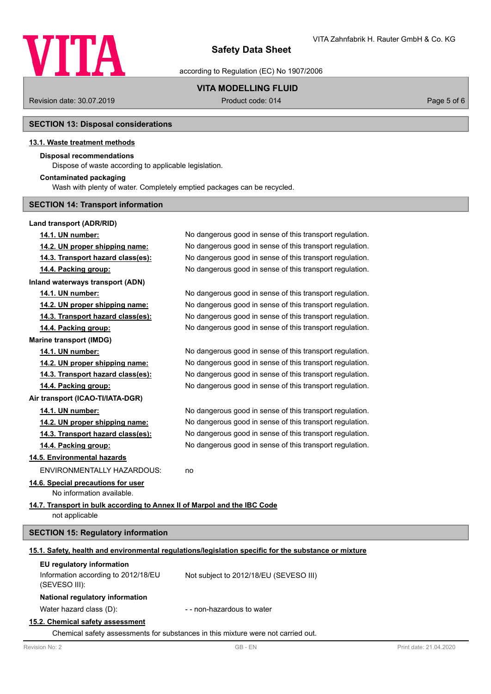

according to Regulation (EC) No 1907/2006

# **VITA MODELLING FLUID**

Revision date: 30.07.2019 **Product code: 014** Product code: 014 **Page 5 of 6** Page 5 of 6

# **SECTION 13: Disposal considerations**

# **13.1. Waste treatment methods**

# **Disposal recommendations**

Dispose of waste according to applicable legislation.

# **Contaminated packaging**

Wash with plenty of water. Completely emptied packages can be recycled.

# **SECTION 14: Transport information**

# **Land transport (ADR/RID)**

| 14.1. UN number:                                                         | No dangerous good in sense of this transport regulation.                                             |
|--------------------------------------------------------------------------|------------------------------------------------------------------------------------------------------|
| 14.2. UN proper shipping name:                                           | No dangerous good in sense of this transport regulation.                                             |
| 14.3. Transport hazard class(es):                                        | No dangerous good in sense of this transport regulation.                                             |
| 14.4. Packing group:                                                     | No dangerous good in sense of this transport regulation.                                             |
| <b>Inland waterways transport (ADN)</b>                                  |                                                                                                      |
| 14.1. UN number:                                                         | No dangerous good in sense of this transport regulation.                                             |
| 14.2. UN proper shipping name:                                           | No dangerous good in sense of this transport regulation.                                             |
| 14.3. Transport hazard class(es):                                        | No dangerous good in sense of this transport regulation.                                             |
| 14.4. Packing group:                                                     | No dangerous good in sense of this transport regulation.                                             |
| <b>Marine transport (IMDG)</b>                                           |                                                                                                      |
| 14.1. UN number:                                                         | No dangerous good in sense of this transport regulation.                                             |
| 14.2. UN proper shipping name:                                           | No dangerous good in sense of this transport regulation.                                             |
| 14.3. Transport hazard class(es):                                        | No dangerous good in sense of this transport regulation.                                             |
| 14.4. Packing group:                                                     | No dangerous good in sense of this transport regulation.                                             |
| Air transport (ICAO-TI/IATA-DGR)                                         |                                                                                                      |
| 14.1. UN number:                                                         | No dangerous good in sense of this transport regulation.                                             |
| 14.2. UN proper shipping name:                                           | No dangerous good in sense of this transport regulation.                                             |
| 14.3. Transport hazard class(es):                                        | No dangerous good in sense of this transport regulation.                                             |
| 14.4. Packing group:                                                     | No dangerous good in sense of this transport regulation.                                             |
| 14.5. Environmental hazards                                              |                                                                                                      |
| <b>ENVIRONMENTALLY HAZARDOUS:</b>                                        | no                                                                                                   |
| 14.6. Special precautions for user                                       |                                                                                                      |
| No information available.                                                |                                                                                                      |
| 14.7. Transport in bulk according to Annex II of Marpol and the IBC Code |                                                                                                      |
| not applicable                                                           |                                                                                                      |
| <b>SECTION 15: Regulatory information</b>                                |                                                                                                      |
|                                                                          | 15.1. Safety, health and environmental regulations/legislation specific for the substance or mixture |
| EU regulatory information                                                |                                                                                                      |
| Information according to 2012/18/EU<br>(SEVESO III):                     | Not subject to 2012/18/EU (SEVESO III)                                                               |
| National regulatory information                                          |                                                                                                      |

Water hazard class (D):  $\blacksquare$  - non-hazardous to water

#### **15.2. Chemical safety assessment**

Chemical safety assessments for substances in this mixture were not carried out.